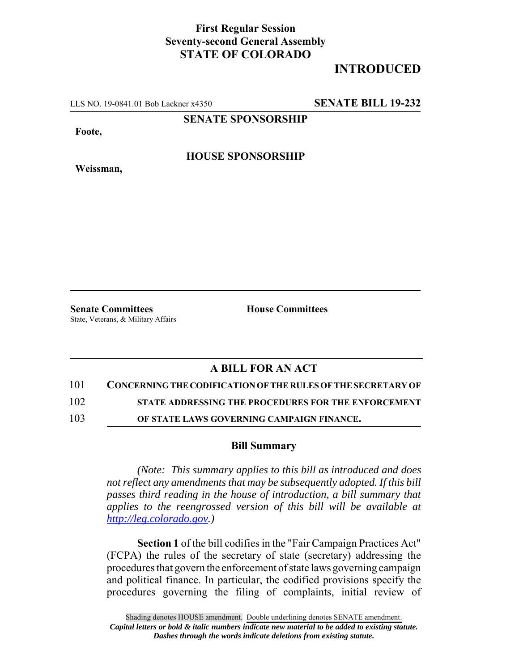## **First Regular Session Seventy-second General Assembly STATE OF COLORADO**

## **INTRODUCED**

LLS NO. 19-0841.01 Bob Lackner x4350 **SENATE BILL 19-232**

**SENATE SPONSORSHIP**

**Foote,**

**Weissman,**

**HOUSE SPONSORSHIP**

**Senate Committees House Committees** 

State, Veterans, & Military Affairs

## **A BILL FOR AN ACT**

101 **CONCERNING THE CODIFICATION OF THE RULES OF THE SECRETARY OF**

102 **STATE ADDRESSING THE PROCEDURES FOR THE ENFORCEMENT**

103 **OF STATE LAWS GOVERNING CAMPAIGN FINANCE.**

## **Bill Summary**

*(Note: This summary applies to this bill as introduced and does not reflect any amendments that may be subsequently adopted. If this bill passes third reading in the house of introduction, a bill summary that applies to the reengrossed version of this bill will be available at http://leg.colorado.gov.)*

**Section 1** of the bill codifies in the "Fair Campaign Practices Act" (FCPA) the rules of the secretary of state (secretary) addressing the procedures that govern the enforcement of state laws governing campaign and political finance. In particular, the codified provisions specify the procedures governing the filing of complaints, initial review of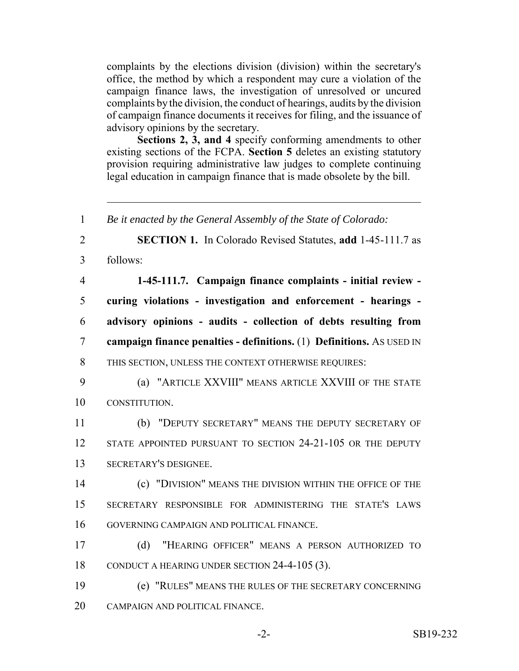complaints by the elections division (division) within the secretary's office, the method by which a respondent may cure a violation of the campaign finance laws, the investigation of unresolved or uncured complaints by the division, the conduct of hearings, audits by the division of campaign finance documents it receives for filing, and the issuance of advisory opinions by the secretary.

**Sections 2, 3, and 4** specify conforming amendments to other existing sections of the FCPA. **Section 5** deletes an existing statutory provision requiring administrative law judges to complete continuing legal education in campaign finance that is made obsolete by the bill.

 *Be it enacted by the General Assembly of the State of Colorado:* **SECTION 1.** In Colorado Revised Statutes, **add** 1-45-111.7 as follows: **1-45-111.7. Campaign finance complaints - initial review - curing violations - investigation and enforcement - hearings - advisory opinions - audits - collection of debts resulting from campaign finance penalties - definitions.** (1) **Definitions.** AS USED IN THIS SECTION, UNLESS THE CONTEXT OTHERWISE REQUIRES: (a) "ARTICLE XXVIII" MEANS ARTICLE XXVIII OF THE STATE CONSTITUTION. (b) "DEPUTY SECRETARY" MEANS THE DEPUTY SECRETARY OF 12 STATE APPOINTED PURSUANT TO SECTION 24-21-105 OR THE DEPUTY SECRETARY'S DESIGNEE. (c) "DIVISION" MEANS THE DIVISION WITHIN THE OFFICE OF THE SECRETARY RESPONSIBLE FOR ADMINISTERING THE STATE'S LAWS GOVERNING CAMPAIGN AND POLITICAL FINANCE. (d) "HEARING OFFICER" MEANS A PERSON AUTHORIZED TO CONDUCT A HEARING UNDER SECTION 24-4-105 (3). (e) "RULES" MEANS THE RULES OF THE SECRETARY CONCERNING CAMPAIGN AND POLITICAL FINANCE.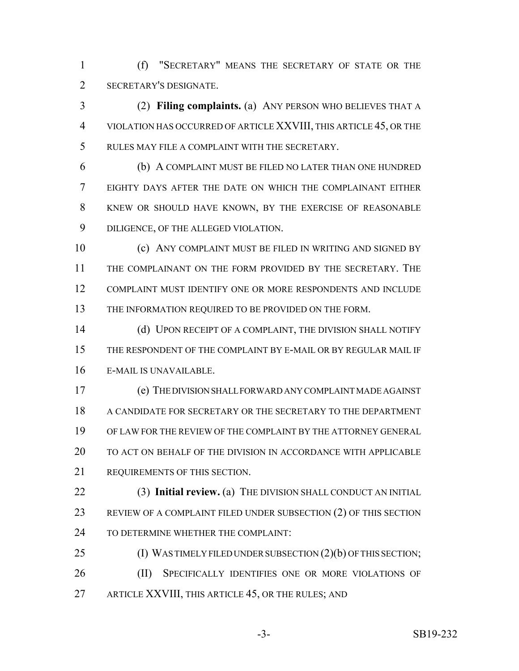(f) "SECRETARY" MEANS THE SECRETARY OF STATE OR THE SECRETARY'S DESIGNATE.

 (2) **Filing complaints.** (a) ANY PERSON WHO BELIEVES THAT A VIOLATION HAS OCCURRED OF ARTICLE XXVIII, THIS ARTICLE 45, OR THE RULES MAY FILE A COMPLAINT WITH THE SECRETARY.

 (b) A COMPLAINT MUST BE FILED NO LATER THAN ONE HUNDRED EIGHTY DAYS AFTER THE DATE ON WHICH THE COMPLAINANT EITHER KNEW OR SHOULD HAVE KNOWN, BY THE EXERCISE OF REASONABLE DILIGENCE, OF THE ALLEGED VIOLATION.

 (c) ANY COMPLAINT MUST BE FILED IN WRITING AND SIGNED BY THE COMPLAINANT ON THE FORM PROVIDED BY THE SECRETARY. THE COMPLAINT MUST IDENTIFY ONE OR MORE RESPONDENTS AND INCLUDE THE INFORMATION REQUIRED TO BE PROVIDED ON THE FORM.

14 (d) UPON RECEIPT OF A COMPLAINT, THE DIVISION SHALL NOTIFY THE RESPONDENT OF THE COMPLAINT BY E-MAIL OR BY REGULAR MAIL IF E-MAIL IS UNAVAILABLE.

 (e) THE DIVISION SHALL FORWARD ANY COMPLAINT MADE AGAINST A CANDIDATE FOR SECRETARY OR THE SECRETARY TO THE DEPARTMENT OF LAW FOR THE REVIEW OF THE COMPLAINT BY THE ATTORNEY GENERAL TO ACT ON BEHALF OF THE DIVISION IN ACCORDANCE WITH APPLICABLE REQUIREMENTS OF THIS SECTION.

 (3) **Initial review.** (a) THE DIVISION SHALL CONDUCT AN INITIAL REVIEW OF A COMPLAINT FILED UNDER SUBSECTION (2) OF THIS SECTION 24 TO DETERMINE WHETHER THE COMPLAINT:

25 (I) WAS TIMELY FILED UNDER SUBSECTION (2)(b) OF THIS SECTION; 26 (II) SPECIFICALLY IDENTIFIES ONE OR MORE VIOLATIONS OF 27 ARTICLE XXVIII, THIS ARTICLE 45, OR THE RULES; AND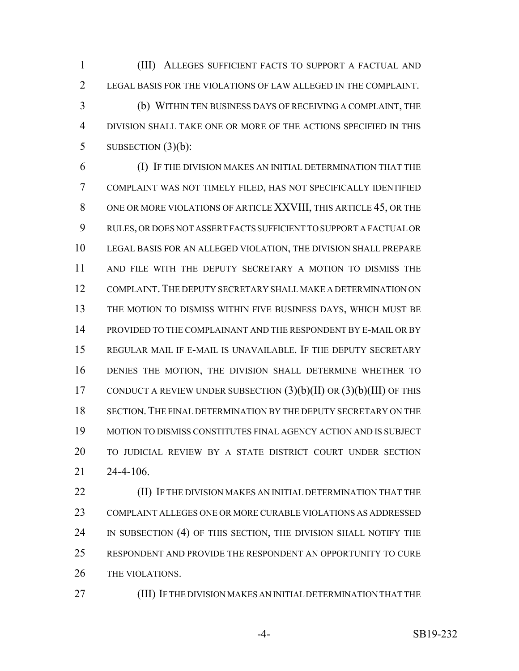(III) ALLEGES SUFFICIENT FACTS TO SUPPORT A FACTUAL AND LEGAL BASIS FOR THE VIOLATIONS OF LAW ALLEGED IN THE COMPLAINT. (b) WITHIN TEN BUSINESS DAYS OF RECEIVING A COMPLAINT, THE DIVISION SHALL TAKE ONE OR MORE OF THE ACTIONS SPECIFIED IN THIS 5 SUBSECTION  $(3)(b)$ :

 (I) IF THE DIVISION MAKES AN INITIAL DETERMINATION THAT THE COMPLAINT WAS NOT TIMELY FILED, HAS NOT SPECIFICALLY IDENTIFIED ONE OR MORE VIOLATIONS OF ARTICLE XXVIII, THIS ARTICLE 45, OR THE RULES, OR DOES NOT ASSERT FACTS SUFFICIENT TO SUPPORT A FACTUAL OR LEGAL BASIS FOR AN ALLEGED VIOLATION, THE DIVISION SHALL PREPARE AND FILE WITH THE DEPUTY SECRETARY A MOTION TO DISMISS THE COMPLAINT.THE DEPUTY SECRETARY SHALL MAKE A DETERMINATION ON THE MOTION TO DISMISS WITHIN FIVE BUSINESS DAYS, WHICH MUST BE PROVIDED TO THE COMPLAINANT AND THE RESPONDENT BY E-MAIL OR BY REGULAR MAIL IF E-MAIL IS UNAVAILABLE. IF THE DEPUTY SECRETARY DENIES THE MOTION, THE DIVISION SHALL DETERMINE WHETHER TO 17 CONDUCT A REVIEW UNDER SUBSECTION  $(3)(b)(II)$  OR  $(3)(b)(III)$  OF THIS SECTION.THE FINAL DETERMINATION BY THE DEPUTY SECRETARY ON THE MOTION TO DISMISS CONSTITUTES FINAL AGENCY ACTION AND IS SUBJECT TO JUDICIAL REVIEW BY A STATE DISTRICT COURT UNDER SECTION 24-4-106.

**(II) IF THE DIVISION MAKES AN INITIAL DETERMINATION THAT THE**  COMPLAINT ALLEGES ONE OR MORE CURABLE VIOLATIONS AS ADDRESSED 24 IN SUBSECTION (4) OF THIS SECTION, THE DIVISION SHALL NOTIFY THE RESPONDENT AND PROVIDE THE RESPONDENT AN OPPORTUNITY TO CURE THE VIOLATIONS.

(III) IF THE DIVISION MAKES AN INITIAL DETERMINATION THAT THE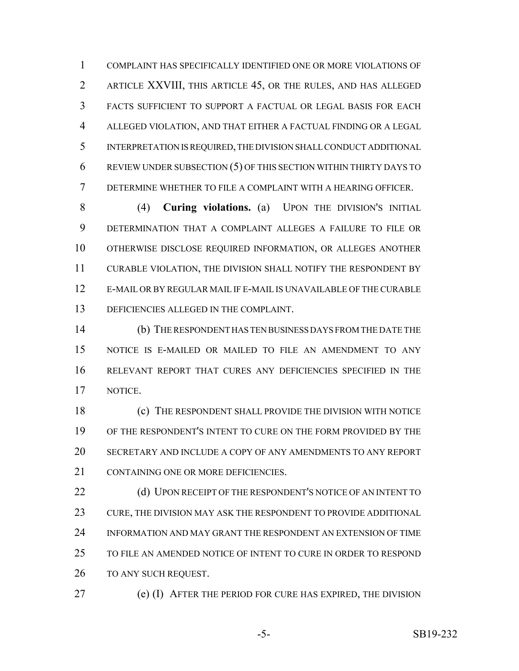COMPLAINT HAS SPECIFICALLY IDENTIFIED ONE OR MORE VIOLATIONS OF ARTICLE XXVIII, THIS ARTICLE 45, OR THE RULES, AND HAS ALLEGED FACTS SUFFICIENT TO SUPPORT A FACTUAL OR LEGAL BASIS FOR EACH ALLEGED VIOLATION, AND THAT EITHER A FACTUAL FINDING OR A LEGAL INTERPRETATION IS REQUIRED, THE DIVISION SHALL CONDUCT ADDITIONAL REVIEW UNDER SUBSECTION (5) OF THIS SECTION WITHIN THIRTY DAYS TO DETERMINE WHETHER TO FILE A COMPLAINT WITH A HEARING OFFICER.

 (4) **Curing violations.** (a) UPON THE DIVISION'S INITIAL DETERMINATION THAT A COMPLAINT ALLEGES A FAILURE TO FILE OR OTHERWISE DISCLOSE REQUIRED INFORMATION, OR ALLEGES ANOTHER CURABLE VIOLATION, THE DIVISION SHALL NOTIFY THE RESPONDENT BY E-MAIL OR BY REGULAR MAIL IF E-MAIL IS UNAVAILABLE OF THE CURABLE DEFICIENCIES ALLEGED IN THE COMPLAINT.

 (b) THE RESPONDENT HAS TEN BUSINESS DAYS FROM THE DATE THE NOTICE IS E-MAILED OR MAILED TO FILE AN AMENDMENT TO ANY RELEVANT REPORT THAT CURES ANY DEFICIENCIES SPECIFIED IN THE NOTICE.

 (c) THE RESPONDENT SHALL PROVIDE THE DIVISION WITH NOTICE OF THE RESPONDENT'S INTENT TO CURE ON THE FORM PROVIDED BY THE SECRETARY AND INCLUDE A COPY OF ANY AMENDMENTS TO ANY REPORT CONTAINING ONE OR MORE DEFICIENCIES.

22 (d) UPON RECEIPT OF THE RESPONDENT'S NOTICE OF AN INTENT TO CURE, THE DIVISION MAY ASK THE RESPONDENT TO PROVIDE ADDITIONAL INFORMATION AND MAY GRANT THE RESPONDENT AN EXTENSION OF TIME TO FILE AN AMENDED NOTICE OF INTENT TO CURE IN ORDER TO RESPOND TO ANY SUCH REQUEST.

(e) (I) AFTER THE PERIOD FOR CURE HAS EXPIRED, THE DIVISION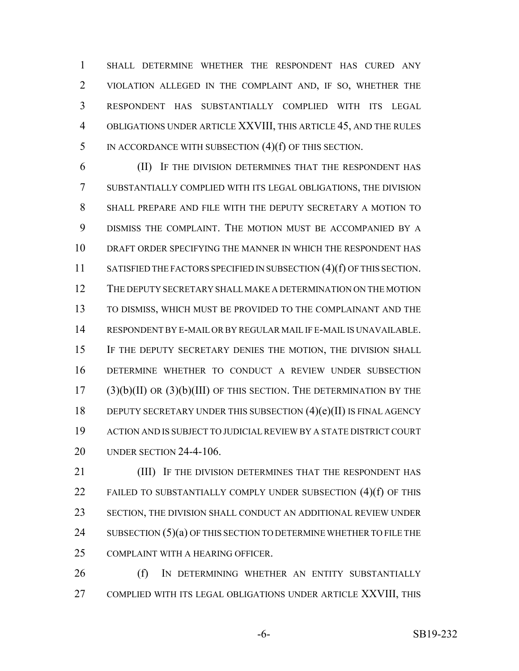SHALL DETERMINE WHETHER THE RESPONDENT HAS CURED ANY VIOLATION ALLEGED IN THE COMPLAINT AND, IF SO, WHETHER THE RESPONDENT HAS SUBSTANTIALLY COMPLIED WITH ITS LEGAL OBLIGATIONS UNDER ARTICLE XXVIII, THIS ARTICLE 45, AND THE RULES IN ACCORDANCE WITH SUBSECTION (4)(f) OF THIS SECTION.

 (II) IF THE DIVISION DETERMINES THAT THE RESPONDENT HAS SUBSTANTIALLY COMPLIED WITH ITS LEGAL OBLIGATIONS, THE DIVISION SHALL PREPARE AND FILE WITH THE DEPUTY SECRETARY A MOTION TO DISMISS THE COMPLAINT. THE MOTION MUST BE ACCOMPANIED BY A DRAFT ORDER SPECIFYING THE MANNER IN WHICH THE RESPONDENT HAS 11 SATISFIED THE FACTORS SPECIFIED IN SUBSECTION (4)(f) OF THIS SECTION. THE DEPUTY SECRETARY SHALL MAKE A DETERMINATION ON THE MOTION TO DISMISS, WHICH MUST BE PROVIDED TO THE COMPLAINANT AND THE RESPONDENT BY E-MAIL OR BY REGULAR MAIL IF E-MAIL IS UNAVAILABLE. IF THE DEPUTY SECRETARY DENIES THE MOTION, THE DIVISION SHALL DETERMINE WHETHER TO CONDUCT A REVIEW UNDER SUBSECTION (3)(b)(II) OR (3)(b)(III) OF THIS SECTION. THE DETERMINATION BY THE 18 DEPUTY SECRETARY UNDER THIS SUBSECTION (4)(e)(II) IS FINAL AGENCY ACTION AND IS SUBJECT TO JUDICIAL REVIEW BY A STATE DISTRICT COURT UNDER SECTION 24-4-106.

**(III)** IF THE DIVISION DETERMINES THAT THE RESPONDENT HAS FAILED TO SUBSTANTIALLY COMPLY UNDER SUBSECTION (4)(f) OF THIS SECTION, THE DIVISION SHALL CONDUCT AN ADDITIONAL REVIEW UNDER 24 SUBSECTION  $(5)(a)$  OF THIS SECTION TO DETERMINE WHETHER TO FILE THE COMPLAINT WITH A HEARING OFFICER.

26 (f) In DETERMINING WHETHER AN ENTITY SUBSTANTIALLY COMPLIED WITH ITS LEGAL OBLIGATIONS UNDER ARTICLE XXVIII, THIS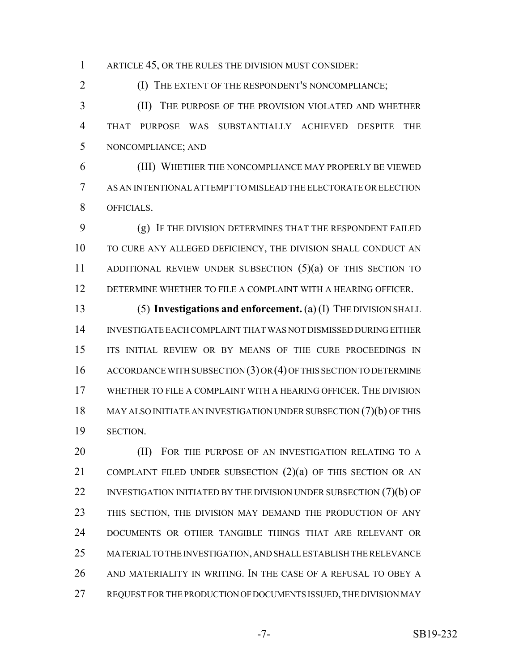ARTICLE 45, OR THE RULES THE DIVISION MUST CONSIDER:

**(I) THE EXTENT OF THE RESPONDENT'S NONCOMPLIANCE;** 

 (II) THE PURPOSE OF THE PROVISION VIOLATED AND WHETHER THAT PURPOSE WAS SUBSTANTIALLY ACHIEVED DESPITE THE NONCOMPLIANCE; AND

 (III) WHETHER THE NONCOMPLIANCE MAY PROPERLY BE VIEWED AS AN INTENTIONAL ATTEMPT TO MISLEAD THE ELECTORATE OR ELECTION OFFICIALS.

 (g) IF THE DIVISION DETERMINES THAT THE RESPONDENT FAILED TO CURE ANY ALLEGED DEFICIENCY, THE DIVISION SHALL CONDUCT AN 11 ADDITIONAL REVIEW UNDER SUBSECTION (5)(a) OF THIS SECTION TO DETERMINE WHETHER TO FILE A COMPLAINT WITH A HEARING OFFICER.

 (5) **Investigations and enforcement.** (a) (I) THE DIVISION SHALL INVESTIGATE EACH COMPLAINT THAT WAS NOT DISMISSED DURING EITHER 15 ITS INITIAL REVIEW OR BY MEANS OF THE CURE PROCEEDINGS IN 16 ACCORDANCE WITH SUBSECTION (3) OR (4) OF THIS SECTION TO DETERMINE WHETHER TO FILE A COMPLAINT WITH A HEARING OFFICER. THE DIVISION MAY ALSO INITIATE AN INVESTIGATION UNDER SUBSECTION (7)(b) OF THIS SECTION.

**(II)** FOR THE PURPOSE OF AN INVESTIGATION RELATING TO A 21 COMPLAINT FILED UNDER SUBSECTION (2)(a) OF THIS SECTION OR AN 22 INVESTIGATION INITIATED BY THE DIVISION UNDER SUBSECTION (7)(b) OF THIS SECTION, THE DIVISION MAY DEMAND THE PRODUCTION OF ANY DOCUMENTS OR OTHER TANGIBLE THINGS THAT ARE RELEVANT OR MATERIAL TO THE INVESTIGATION, AND SHALL ESTABLISH THE RELEVANCE AND MATERIALITY IN WRITING. IN THE CASE OF A REFUSAL TO OBEY A REQUEST FOR THE PRODUCTION OF DOCUMENTS ISSUED, THE DIVISION MAY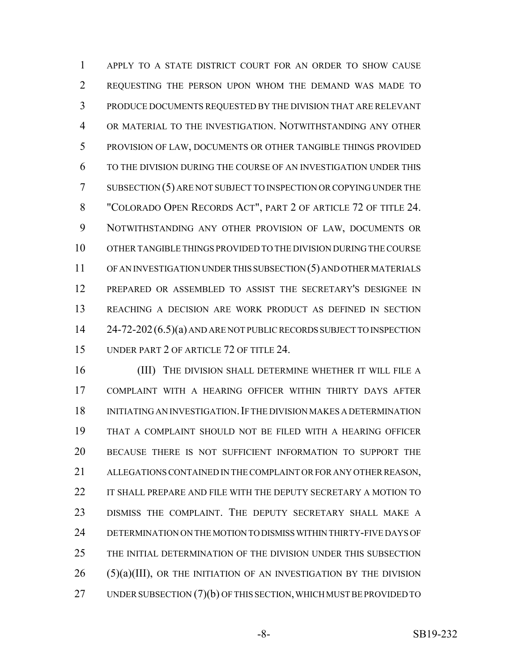APPLY TO A STATE DISTRICT COURT FOR AN ORDER TO SHOW CAUSE REQUESTING THE PERSON UPON WHOM THE DEMAND WAS MADE TO PRODUCE DOCUMENTS REQUESTED BY THE DIVISION THAT ARE RELEVANT OR MATERIAL TO THE INVESTIGATION. NOTWITHSTANDING ANY OTHER PROVISION OF LAW, DOCUMENTS OR OTHER TANGIBLE THINGS PROVIDED TO THE DIVISION DURING THE COURSE OF AN INVESTIGATION UNDER THIS SUBSECTION (5) ARE NOT SUBJECT TO INSPECTION OR COPYING UNDER THE "COLORADO OPEN RECORDS ACT", PART 2 OF ARTICLE 72 OF TITLE 24. NOTWITHSTANDING ANY OTHER PROVISION OF LAW, DOCUMENTS OR OTHER TANGIBLE THINGS PROVIDED TO THE DIVISION DURING THE COURSE OF AN INVESTIGATION UNDER THIS SUBSECTION (5) AND OTHER MATERIALS PREPARED OR ASSEMBLED TO ASSIST THE SECRETARY'S DESIGNEE IN REACHING A DECISION ARE WORK PRODUCT AS DEFINED IN SECTION 14 24-72-202 (6.5)(a) AND ARE NOT PUBLIC RECORDS SUBJECT TO INSPECTION UNDER PART 2 OF ARTICLE 72 OF TITLE 24.

16 (III) THE DIVISION SHALL DETERMINE WHETHER IT WILL FILE A COMPLAINT WITH A HEARING OFFICER WITHIN THIRTY DAYS AFTER INITIATING AN INVESTIGATION.IF THE DIVISION MAKES A DETERMINATION THAT A COMPLAINT SHOULD NOT BE FILED WITH A HEARING OFFICER BECAUSE THERE IS NOT SUFFICIENT INFORMATION TO SUPPORT THE ALLEGATIONS CONTAINED IN THE COMPLAINT OR FOR ANY OTHER REASON, IT SHALL PREPARE AND FILE WITH THE DEPUTY SECRETARY A MOTION TO DISMISS THE COMPLAINT. THE DEPUTY SECRETARY SHALL MAKE A DETERMINATION ON THE MOTION TO DISMISS WITHIN THIRTY-FIVE DAYS OF THE INITIAL DETERMINATION OF THE DIVISION UNDER THIS SUBSECTION (5)(a)(III), OR THE INITIATION OF AN INVESTIGATION BY THE DIVISION 27 UNDER SUBSECTION (7)(b) OF THIS SECTION, WHICH MUST BE PROVIDED TO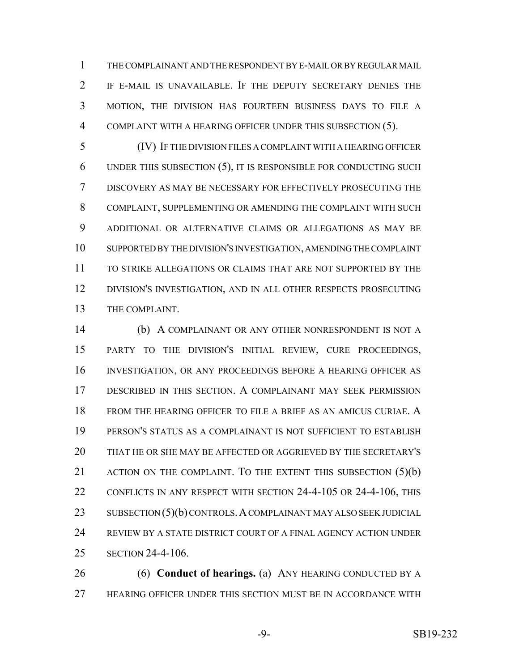THE COMPLAINANT AND THE RESPONDENT BY E-MAIL OR BY REGULAR MAIL IF E-MAIL IS UNAVAILABLE. IF THE DEPUTY SECRETARY DENIES THE MOTION, THE DIVISION HAS FOURTEEN BUSINESS DAYS TO FILE A COMPLAINT WITH A HEARING OFFICER UNDER THIS SUBSECTION (5).

 (IV) IF THE DIVISION FILES A COMPLAINT WITH A HEARING OFFICER UNDER THIS SUBSECTION (5), IT IS RESPONSIBLE FOR CONDUCTING SUCH DISCOVERY AS MAY BE NECESSARY FOR EFFECTIVELY PROSECUTING THE COMPLAINT, SUPPLEMENTING OR AMENDING THE COMPLAINT WITH SUCH ADDITIONAL OR ALTERNATIVE CLAIMS OR ALLEGATIONS AS MAY BE SUPPORTED BY THE DIVISION'S INVESTIGATION, AMENDING THE COMPLAINT TO STRIKE ALLEGATIONS OR CLAIMS THAT ARE NOT SUPPORTED BY THE DIVISION'S INVESTIGATION, AND IN ALL OTHER RESPECTS PROSECUTING THE COMPLAINT.

 (b) A COMPLAINANT OR ANY OTHER NONRESPONDENT IS NOT A PARTY TO THE DIVISION'S INITIAL REVIEW, CURE PROCEEDINGS, INVESTIGATION, OR ANY PROCEEDINGS BEFORE A HEARING OFFICER AS DESCRIBED IN THIS SECTION. A COMPLAINANT MAY SEEK PERMISSION FROM THE HEARING OFFICER TO FILE A BRIEF AS AN AMICUS CURIAE. A PERSON'S STATUS AS A COMPLAINANT IS NOT SUFFICIENT TO ESTABLISH THAT HE OR SHE MAY BE AFFECTED OR AGGRIEVED BY THE SECRETARY'S 21 ACTION ON THE COMPLAINT. TO THE EXTENT THIS SUBSECTION (5)(b) CONFLICTS IN ANY RESPECT WITH SECTION 24-4-105 OR 24-4-106, THIS 23 SUBSECTION (5)(b) CONTROLS. A COMPLAINANT MAY ALSO SEEK JUDICIAL REVIEW BY A STATE DISTRICT COURT OF A FINAL AGENCY ACTION UNDER SECTION 24-4-106.

 (6) **Conduct of hearings.** (a) ANY HEARING CONDUCTED BY A HEARING OFFICER UNDER THIS SECTION MUST BE IN ACCORDANCE WITH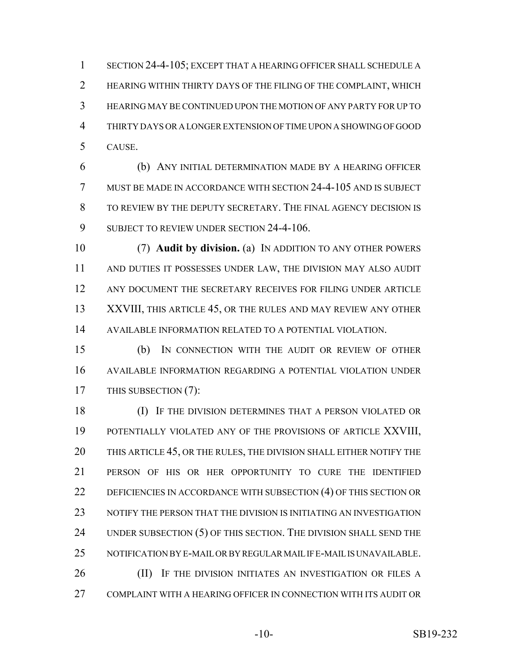SECTION 24-4-105; EXCEPT THAT A HEARING OFFICER SHALL SCHEDULE A HEARING WITHIN THIRTY DAYS OF THE FILING OF THE COMPLAINT, WHICH HEARING MAY BE CONTINUED UPON THE MOTION OF ANY PARTY FOR UP TO THIRTY DAYS OR A LONGER EXTENSION OF TIME UPON A SHOWING OF GOOD CAUSE.

 (b) ANY INITIAL DETERMINATION MADE BY A HEARING OFFICER MUST BE MADE IN ACCORDANCE WITH SECTION 24-4-105 AND IS SUBJECT TO REVIEW BY THE DEPUTY SECRETARY. THE FINAL AGENCY DECISION IS 9 SUBJECT TO REVIEW UNDER SECTION 24-4-106.

 (7) **Audit by division.** (a) IN ADDITION TO ANY OTHER POWERS AND DUTIES IT POSSESSES UNDER LAW, THE DIVISION MAY ALSO AUDIT 12 ANY DOCUMENT THE SECRETARY RECEIVES FOR FILING UNDER ARTICLE XXVIII, THIS ARTICLE 45, OR THE RULES AND MAY REVIEW ANY OTHER AVAILABLE INFORMATION RELATED TO A POTENTIAL VIOLATION.

 (b) IN CONNECTION WITH THE AUDIT OR REVIEW OF OTHER AVAILABLE INFORMATION REGARDING A POTENTIAL VIOLATION UNDER 17 THIS SUBSECTION (7):

 (I) IF THE DIVISION DETERMINES THAT A PERSON VIOLATED OR POTENTIALLY VIOLATED ANY OF THE PROVISIONS OF ARTICLE XXVIII, 20 THIS ARTICLE 45, OR THE RULES, THE DIVISION SHALL EITHER NOTIFY THE PERSON OF HIS OR HER OPPORTUNITY TO CURE THE IDENTIFIED DEFICIENCIES IN ACCORDANCE WITH SUBSECTION (4) OF THIS SECTION OR NOTIFY THE PERSON THAT THE DIVISION IS INITIATING AN INVESTIGATION 24 UNDER SUBSECTION (5) OF THIS SECTION. THE DIVISION SHALL SEND THE NOTIFICATION BY E-MAIL OR BY REGULAR MAIL IF E-MAIL IS UNAVAILABLE. **(II)** IF THE DIVISION INITIATES AN INVESTIGATION OR FILES A COMPLAINT WITH A HEARING OFFICER IN CONNECTION WITH ITS AUDIT OR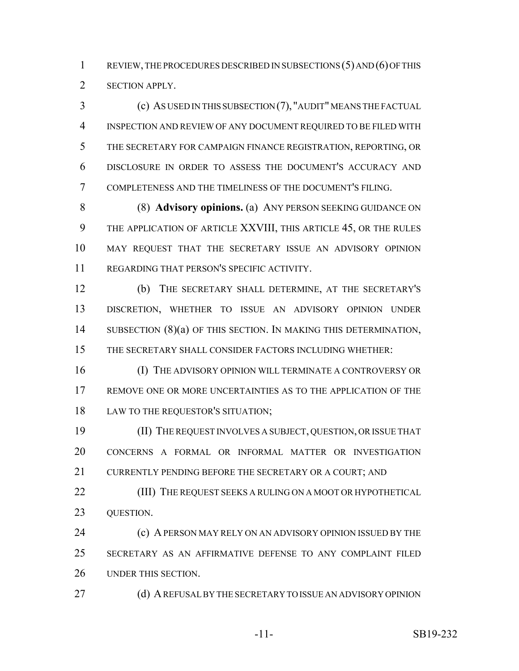REVIEW, THE PROCEDURES DESCRIBED IN SUBSECTIONS (5) AND (6) OF THIS SECTION APPLY.

 (c) AS USED IN THIS SUBSECTION (7), "AUDIT" MEANS THE FACTUAL INSPECTION AND REVIEW OF ANY DOCUMENT REQUIRED TO BE FILED WITH THE SECRETARY FOR CAMPAIGN FINANCE REGISTRATION, REPORTING, OR DISCLOSURE IN ORDER TO ASSESS THE DOCUMENT'S ACCURACY AND COMPLETENESS AND THE TIMELINESS OF THE DOCUMENT'S FILING.

 (8) **Advisory opinions.** (a) ANY PERSON SEEKING GUIDANCE ON THE APPLICATION OF ARTICLE XXVIII, THIS ARTICLE 45, OR THE RULES MAY REQUEST THAT THE SECRETARY ISSUE AN ADVISORY OPINION REGARDING THAT PERSON'S SPECIFIC ACTIVITY.

 (b) THE SECRETARY SHALL DETERMINE, AT THE SECRETARY'S DISCRETION, WHETHER TO ISSUE AN ADVISORY OPINION UNDER 14 SUBSECTION (8)(a) OF THIS SECTION. IN MAKING THIS DETERMINATION, THE SECRETARY SHALL CONSIDER FACTORS INCLUDING WHETHER:

 (I) THE ADVISORY OPINION WILL TERMINATE A CONTROVERSY OR REMOVE ONE OR MORE UNCERTAINTIES AS TO THE APPLICATION OF THE LAW TO THE REQUESTOR'S SITUATION;

 (II) THE REQUEST INVOLVES A SUBJECT, QUESTION, OR ISSUE THAT CONCERNS A FORMAL OR INFORMAL MATTER OR INVESTIGATION 21 CURRENTLY PENDING BEFORE THE SECRETARY OR A COURT; AND

**(III)** THE REQUEST SEEKS A RULING ON A MOOT OR HYPOTHETICAL QUESTION.

**(c) A PERSON MAY RELY ON AN ADVISORY OPINION ISSUED BY THE**  SECRETARY AS AN AFFIRMATIVE DEFENSE TO ANY COMPLAINT FILED UNDER THIS SECTION.

27 (d) A REFUSAL BY THE SECRETARY TO ISSUE AN ADVISORY OPINION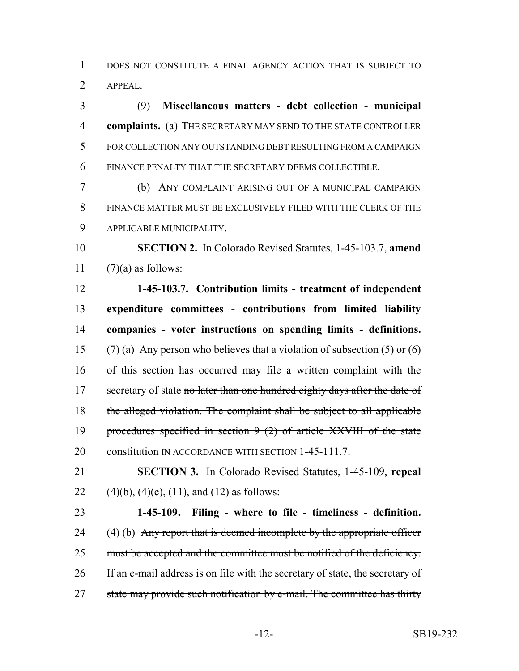DOES NOT CONSTITUTE A FINAL AGENCY ACTION THAT IS SUBJECT TO APPEAL.

 (9) **Miscellaneous matters - debt collection - municipal complaints.** (a) THE SECRETARY MAY SEND TO THE STATE CONTROLLER FOR COLLECTION ANY OUTSTANDING DEBT RESULTING FROM A CAMPAIGN FINANCE PENALTY THAT THE SECRETARY DEEMS COLLECTIBLE.

 (b) ANY COMPLAINT ARISING OUT OF A MUNICIPAL CAMPAIGN FINANCE MATTER MUST BE EXCLUSIVELY FILED WITH THE CLERK OF THE APPLICABLE MUNICIPALITY.

 **SECTION 2.** In Colorado Revised Statutes, 1-45-103.7, **amend** 11  $(7)(a)$  as follows:

 **1-45-103.7. Contribution limits - treatment of independent expenditure committees - contributions from limited liability companies - voter instructions on spending limits - definitions.** (7) (a) Any person who believes that a violation of subsection (5) or (6) of this section has occurred may file a written complaint with the 17 secretary of state no later than one hundred eighty days after the date of the alleged violation. The complaint shall be subject to all applicable procedures specified in section 9 (2) of article XXVIII of the state 20 constitution IN ACCORDANCE WITH SECTION 1-45-111.7.

 **SECTION 3.** In Colorado Revised Statutes, 1-45-109, **repeal** 22 (4)(b), (4)(c), (11), and (12) as follows:

 **1-45-109. Filing - where to file - timeliness - definition.** 24 (4) (b) Any report that is deemed incomplete by the appropriate officer 25 must be accepted and the committee must be notified of the deficiency. 26 If an e-mail address is on file with the secretary of state, the secretary of 27 state may provide such notification by e-mail. The committee has thirty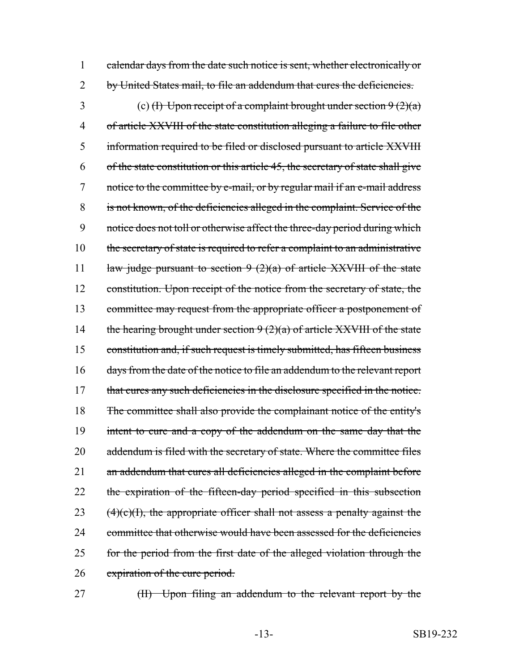1 calendar days from the date such notice is sent, whether electronically or 2 by United States mail, to file an addendum that cures the deficiencies.

3 (c) (I) Upon receipt of a complaint brought under section  $9(2)(a)$ 4 of article XXVIII of the state constitution alleging a failure to file other 5 information required to be filed or disclosed pursuant to article XXVIII 6 of the state constitution or this article 45, the secretary of state shall give 7 notice to the committee by e-mail, or by regular mail if an e-mail address 8 is not known, of the deficiencies alleged in the complaint. Service of the 9 notice does not toll or otherwise affect the three-day period during which 10 the secretary of state is required to refer a complaint to an administrative 11 law judge pursuant to section  $9(2)(a)$  of article XXVIII of the state 12 constitution. Upon receipt of the notice from the secretary of state, the 13 committee may request from the appropriate officer a postponement of 14 the hearing brought under section  $9(2)(a)$  of article XXVIII of the state 15 constitution and, if such request is timely submitted, has fifteen business 16 days from the date of the notice to file an addendum to the relevant report 17 that cures any such deficiencies in the disclosure specified in the notice. 18 The committee shall also provide the complainant notice of the entity's 19 intent to cure and a copy of the addendum on the same day that the 20 addendum is filed with the secretary of state. Where the committee files 21 an addendum that cures all deficiencies alleged in the complaint before 22 the expiration of the fifteen-day period specified in this subsection 23  $(4)(c)(1)$ , the appropriate officer shall not assess a penalty against the 24 committee that otherwise would have been assessed for the deficiencies 25 for the period from the first date of the alleged violation through the 26 expiration of the cure period.

27 (II) Upon filing an addendum to the relevant report by the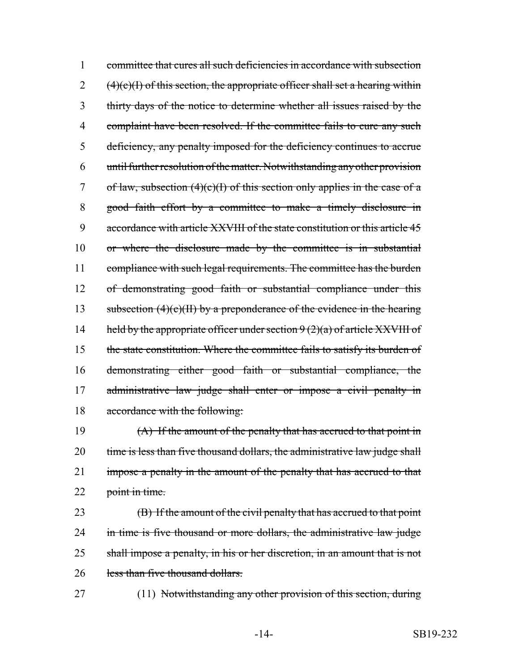1 committee that cures all such deficiencies in accordance with subsection  $2 \left(4\right)$ (e)(I) of this section, the appropriate officer shall set a hearing within 3 thirty days of the notice to determine whether all issues raised by the 4 complaint have been resolved. If the committee fails to cure any such 5 deficiency, any penalty imposed for the deficiency continues to accrue 6 until further resolution of the matter. Notwithstanding any other provision 7 of law, subsection  $(4)(c)(I)$  of this section only applies in the case of a 8 good faith effort by a committee to make a timely disclosure in 9 accordance with article XXVIII of the state constitution or this article 45 10 or where the disclosure made by the committee is in substantial 11 compliance with such legal requirements. The committee has the burden 12 of demonstrating good faith or substantial compliance under this 13 subsection  $(4)(c)(H)$  by a preponderance of the evidence in the hearing 14 held by the appropriate officer under section  $9(2)(a)$  of article XXVIII of 15 the state constitution. Where the committee fails to satisfy its burden of 16 demonstrating either good faith or substantial compliance, the 17 administrative law judge shall enter or impose a civil penalty in 18 accordance with the following:

19 (A) If the amount of the penalty that has accrued to that point in 20 time is less than five thousand dollars, the administrative law judge shall 21 impose a penalty in the amount of the penalty that has accrued to that 22 point in time.

23 (B) If the amount of the civil penalty that has accrued to that point 24 in time is five thousand or more dollars, the administrative law judge 25 shall impose a penalty, in his or her discretion, in an amount that is not 26 less than five thousand dollars.

27 (11) Notwithstanding any other provision of this section, during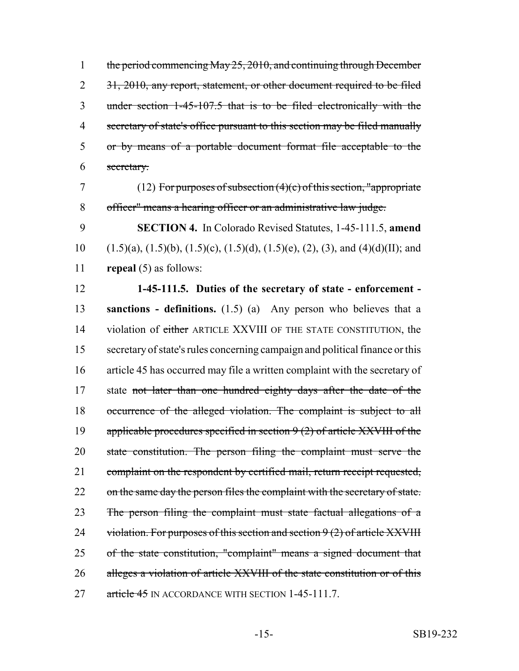1 the period commencing May 25, 2010, and continuing through December 2 31, 2010, any report, statement, or other document required to be filed under section 1-45-107.5 that is to be filed electronically with the secretary of state's office pursuant to this section may be filed manually or by means of a portable document format file acceptable to the secretary.

7 (12) For purposes of subsection (4)(c) of this section, "appropriate 8 officer" means a hearing officer or an administrative law judge.

9 **SECTION 4.** In Colorado Revised Statutes, 1-45-111.5, **amend** 10 (1.5)(a), (1.5)(b), (1.5)(c), (1.5)(d), (1.5)(e), (2), (3), and (4)(d)(II); and 11 **repeal** (5) as follows:

12 **1-45-111.5. Duties of the secretary of state - enforcement -** 13 **sanctions - definitions.** (1.5) (a) Any person who believes that a 14 violation of either ARTICLE XXVIII OF THE STATE CONSTITUTION, the 15 secretary of state's rules concerning campaign and political finance or this 16 article 45 has occurred may file a written complaint with the secretary of 17 state not later than one hundred eighty days after the date of the 18 occurrence of the alleged violation. The complaint is subject to all 19 applicable procedures specified in section  $9(2)$  of article XXVIII of the 20 state constitution. The person filing the complaint must serve the 21 complaint on the respondent by certified mail, return receipt requested, 22 on the same day the person files the complaint with the secretary of state. 23 The person filing the complaint must state factual allegations of a 24 violation. For purposes of this section and section  $9(2)$  of article XXVIII 25 of the state constitution, "complaint" means a signed document that 26 alleges a violation of article XXVIII of the state constitution or of this 27 article 45 IN ACCORDANCE WITH SECTION 1-45-111.7.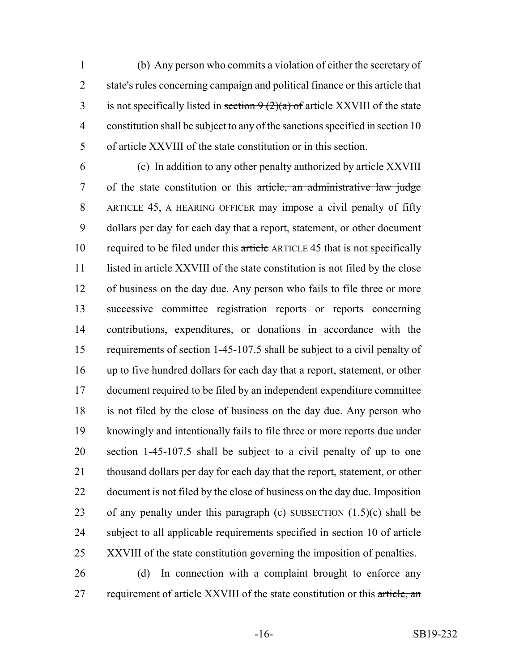(b) Any person who commits a violation of either the secretary of state's rules concerning campaign and political finance or this article that 3 is not specifically listed in section  $9(2)(a)$  of article XXVIII of the state constitution shall be subject to any of the sanctions specified in section 10 of article XXVIII of the state constitution or in this section.

 (c) In addition to any other penalty authorized by article XXVIII 7 of the state constitution or this article, an administrative law judge ARTICLE 45, A HEARING OFFICER may impose a civil penalty of fifty dollars per day for each day that a report, statement, or other document 10 required to be filed under this article ARTICLE 45 that is not specifically listed in article XXVIII of the state constitution is not filed by the close of business on the day due. Any person who fails to file three or more successive committee registration reports or reports concerning contributions, expenditures, or donations in accordance with the requirements of section 1-45-107.5 shall be subject to a civil penalty of up to five hundred dollars for each day that a report, statement, or other document required to be filed by an independent expenditure committee is not filed by the close of business on the day due. Any person who knowingly and intentionally fails to file three or more reports due under section 1-45-107.5 shall be subject to a civil penalty of up to one thousand dollars per day for each day that the report, statement, or other document is not filed by the close of business on the day due. Imposition 23 of any penalty under this paragraph (c) SUBSECTION  $(1.5)(c)$  shall be subject to all applicable requirements specified in section 10 of article XXVIII of the state constitution governing the imposition of penalties.

 (d) In connection with a complaint brought to enforce any 27 requirement of article XXVIII of the state constitution or this article, an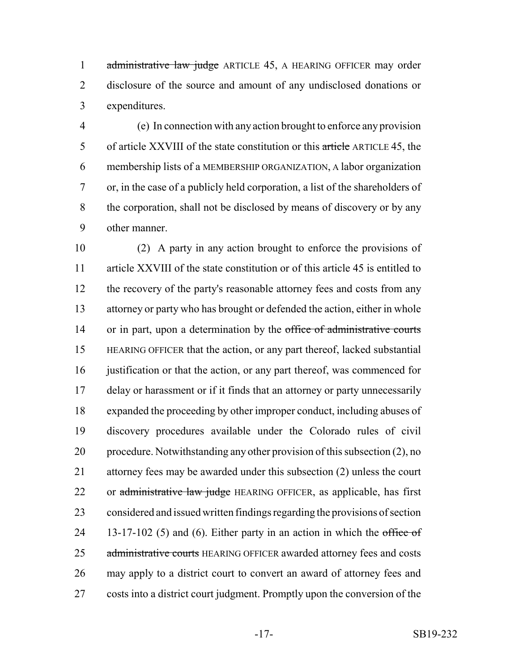1 administrative law judge ARTICLE 45, A HEARING OFFICER may order disclosure of the source and amount of any undisclosed donations or expenditures.

 (e) In connection with any action brought to enforce any provision of article XXVIII of the state constitution or this article ARTICLE 45, the membership lists of a MEMBERSHIP ORGANIZATION, A labor organization or, in the case of a publicly held corporation, a list of the shareholders of the corporation, shall not be disclosed by means of discovery or by any other manner.

 (2) A party in any action brought to enforce the provisions of article XXVIII of the state constitution or of this article 45 is entitled to 12 the recovery of the party's reasonable attorney fees and costs from any attorney or party who has brought or defended the action, either in whole 14 or in part, upon a determination by the office of administrative courts HEARING OFFICER that the action, or any part thereof, lacked substantial 16 justification or that the action, or any part thereof, was commenced for delay or harassment or if it finds that an attorney or party unnecessarily expanded the proceeding by other improper conduct, including abuses of discovery procedures available under the Colorado rules of civil procedure. Notwithstanding any other provision of this subsection (2), no attorney fees may be awarded under this subsection (2) unless the court 22 or administrative law judge HEARING OFFICER, as applicable, has first considered and issued written findings regarding the provisions of section 24 13-17-102 (5) and (6). Either party in an action in which the office of 25 administrative courts HEARING OFFICER awarded attorney fees and costs may apply to a district court to convert an award of attorney fees and costs into a district court judgment. Promptly upon the conversion of the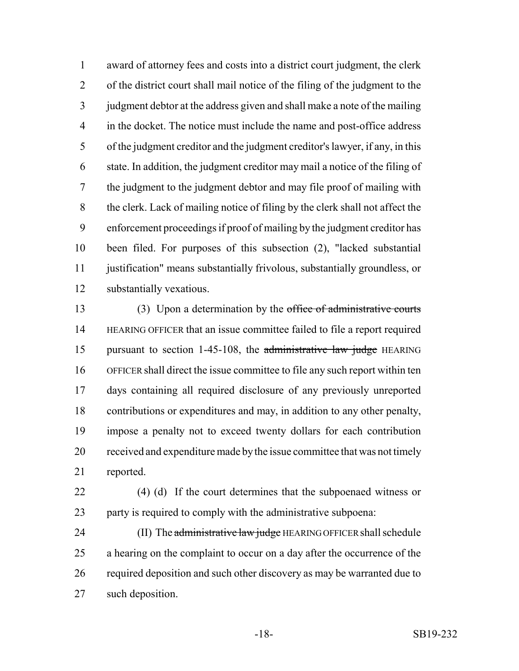award of attorney fees and costs into a district court judgment, the clerk of the district court shall mail notice of the filing of the judgment to the judgment debtor at the address given and shall make a note of the mailing in the docket. The notice must include the name and post-office address of the judgment creditor and the judgment creditor's lawyer, if any, in this state. In addition, the judgment creditor may mail a notice of the filing of the judgment to the judgment debtor and may file proof of mailing with the clerk. Lack of mailing notice of filing by the clerk shall not affect the enforcement proceedings if proof of mailing by the judgment creditor has been filed. For purposes of this subsection (2), "lacked substantial justification" means substantially frivolous, substantially groundless, or substantially vexatious.

13 (3) Upon a determination by the office of administrative courts HEARING OFFICER that an issue committee failed to file a report required 15 pursuant to section 1-45-108, the administrative law judge HEARING OFFICER shall direct the issue committee to file any such report within ten days containing all required disclosure of any previously unreported contributions or expenditures and may, in addition to any other penalty, impose a penalty not to exceed twenty dollars for each contribution received and expenditure made by the issue committee that was not timely reported.

 (4) (d) If the court determines that the subpoenaed witness or party is required to comply with the administrative subpoena:

24 (II) The administrative law judge HEARING OFFICER shall schedule a hearing on the complaint to occur on a day after the occurrence of the required deposition and such other discovery as may be warranted due to such deposition.